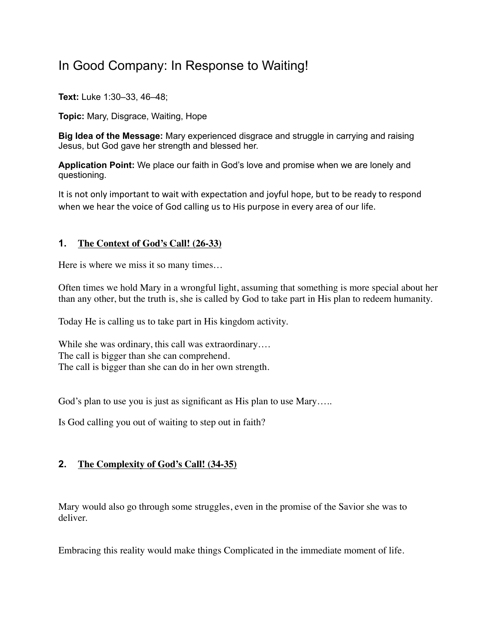## In Good Company: In Response to Waiting!

**Text:** Luke 1:30–33, 46–48;

**Topic:** Mary, Disgrace, Waiting, Hope

**Big Idea of the Message:** Mary experienced disgrace and struggle in carrying and raising Jesus, but God gave her strength and blessed her.

**Application Point:** We place our faith in God's love and promise when we are lonely and questioning.

It is not only important to wait with expectation and joyful hope, but to be ready to respond when we hear the voice of God calling us to His purpose in every area of our life.

## **1. The Context of God's Call! (26-33)**

Here is where we miss it so many times…

Often times we hold Mary in a wrongful light, assuming that something is more special about her than any other, but the truth is, she is called by God to take part in His plan to redeem humanity.

Today He is calling us to take part in His kingdom activity.

While she was ordinary, this call was extraordinary.... The call is bigger than she can comprehend. The call is bigger than she can do in her own strength.

God's plan to use you is just as significant as His plan to use Mary…..

Is God calling you out of waiting to step out in faith?

## **2. The Complexity of God's Call! (34-35)**

Mary would also go through some struggles, even in the promise of the Savior she was to deliver.

Embracing this reality would make things Complicated in the immediate moment of life.